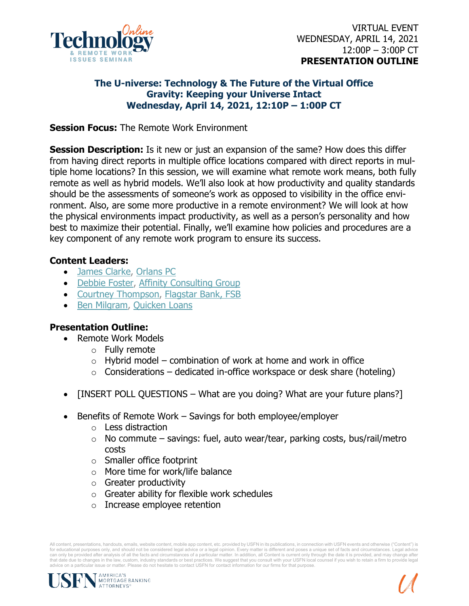

## **The U-niverse: Technology & The Future of the Virtual Office Gravity: Keeping your Universe Intact Wednesday, April 14, 2021, 12:10P – 1:00P CT**

**Session Focus:** The Remote Work Environment

**Session Description:** Is it new or just an expansion of the same? How does this differ from having direct reports in multiple office locations compared with direct reports in multiple home locations? In this session, we will examine what remote work means, both fully remote as well as hybrid models. We'll also look at how productivity and quality standards should be the assessments of someone's work as opposed to visibility in the office environment. Also, are some more productive in a remote environment? We will look at how the physical environments impact productivity, as well as a person's personality and how best to maximize their potential. Finally, we'll examine how policies and procedures are a key component of any remote work program to ensure its success.

## **Content Leaders:**

- [James Clarke,](https://www.linkedin.com/in/jameseclarke/) [Orlans PC](https://www.linkedin.com/company/orlans/)
- [Debbie Foster,](https://www.linkedin.com/in/debbiefoster/) [Affinity Consulting Group](https://www.linkedin.com/company/affinityconsulting/)
- [Courtney Thompson,](https://www.linkedin.com/in/croschekthompson/) [Flagstar Bank, FSB](https://www.linkedin.com/company/flagstar-bank/)
- [Ben Milgram,](https://www.linkedin.com/in/benjamin-milgram-9856a217/) [Quicken Loans](https://www.linkedin.com/company/quicken-loans/)

## **Presentation Outline:**

- Remote Work Models
	- o Fully remote
	- $\circ$  Hybrid model combination of work at home and work in office
	- $\circ$  Considerations dedicated in-office workspace or desk share (hoteling)
- [INSERT POLL QUESTIONS What are you doing? What are your future plans?]
- Benefits of Remote Work Savings for both employee/employer
	- o Less distraction
	- $\circ$  No commute savings: fuel, auto wear/tear, parking costs, bus/rail/metro costs
	- o Smaller office footprint
	- o More time for work/life balance
	- $\circ$  Greater productivity
	- o Greater ability for flexible work schedules
	- o Increase employee retention

All content, presentations, handouts, emails, website content, mobile app content, etc. provided by USFN in its publications, in connection with USFN events and otherwise ("Content") is for educational purposes only, and should not be considered legal advice or a legal opinion. Every matter is different and poses a unique set of facts and circumstances. Legal advice can only be provided after analysis of all the facts and circumstances of a particular matter. In addition, all Content is current only through the date it is provided, and may change after<br>that date due to changes in the advice on a particular issue or matter. Please do not hesitate to contact USFN for contact information for our firms for that purpose.

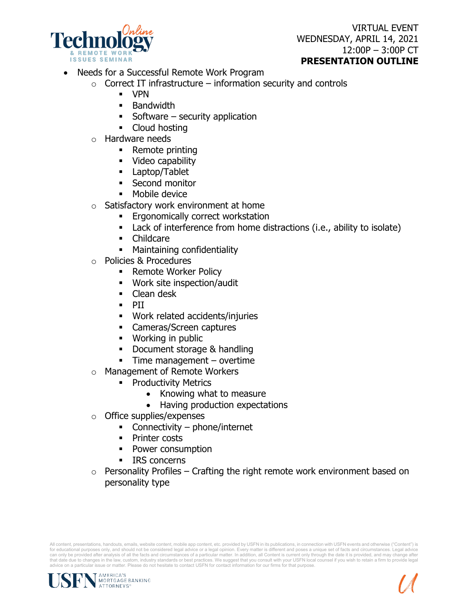

VIRTUAL EVENT WEDNESDAY, APRIL 14, 2021 12:00P – 3:00P CT **PRESENTATION OUTLINE**

- Needs for a Successful Remote Work Program
	- $\circ$  Correct IT infrastructure information security and controls
		- VPN
		- **Bandwidth**
		- Software security application
		- Cloud hosting
	- o Hardware needs
		- Remote printing
		- **Video capability**
		- Laptop/Tablet
		- **Second monitor**
		- **Mobile device**
	- o Satisfactory work environment at home
		- **Ergonomically correct workstation**
		- Lack of interference from home distractions (i.e., ability to isolate)
		- Childcare
		- **Maintaining confidentiality**
	- o Policies & Procedures
		- **Remote Worker Policy**
		- Work site inspection/audit
		- Clean desk
		- **PII**
		- Work related accidents/injuries
		- **Cameras/Screen captures**
		- **Working in public**
		- Document storage & handling
		- **Time management overtime**
	- o Management of Remote Workers
		- **•** Productivity Metrics
			- Knowing what to measure
			- Having production expectations
	- o Office supplies/expenses
		- Connectivity phone/internet
		- Printer costs
		- Power consumption
		- **IRS** concerns
	- $\circ$  Personality Profiles Crafting the right remote work environment based on personality type

All content, presentations, handouts, emails, website content, mobile app content, etc. provided by USFN in its publications, in connection with USFN events and otherwise ("Content") is for educational purposes only, and should not be considered legal advice or a legal opinion. Every matter is different and poses a unique set of facts and circumstances. Legal advice can only be provided after analysis of all the facts and circumstances of a particular matter. In addition, all Content is current only through the date it is provided, and may change after<br>that date due to changes in the